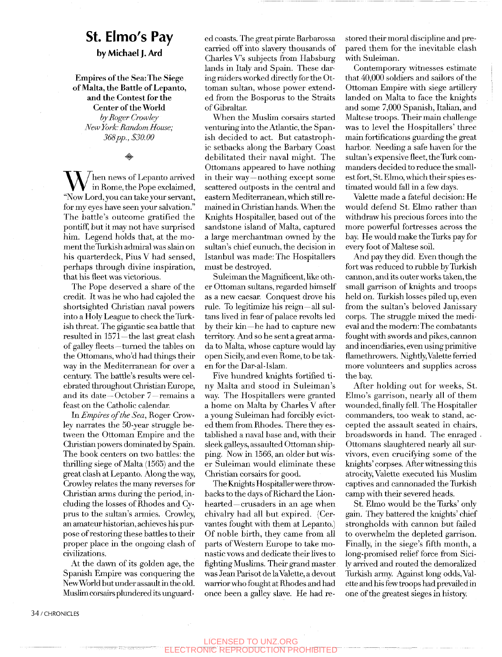## **St. Elmo's Pay**

## by Michael J. Ard

**Empires of the** Sea: **The Siege of Malta, the Battle of Lepanto, and the Contest for the Center of the World**  *by Roger Crowley New York: Random House; 368pp., \$30.00* 

 $\sum_{\substack{\text{in} \text{ Rome, the Pope exclaimed,} \ \text{``New I ord you can take your server''}}$ "Now Lord, you can take your servant, for my eyes have seen your salvation." The battle's outcome gratified the pontiff, but it may not have surprised him. Legend holds that, at the moment the Turkish admiral was slain on his quarterdeck, Pius V had sensed, perhaps through divine inspiration, that his fleet was victorious.

The Pope deserved a share of the credit. It was he who had cajoled the shortsighted Christian naval powers into a Holy League to check the Turkish threat. The gigantic sea battle that resulted in 1571—the last great clash of galley fleets—turned the tables on the Ottomans, who'd had things their way in the Mediterranean for over a century. The batde's results were celebrated throughout Christian Europe, and its date—October 7—remains a feast on the Catholic calendar.

In *Empires of the Sea,* Roger Crowley narrates the 50-year struggle between the Ottoman Empire and the Christian powers dominated by Spain. The book centers on two battles: the thrilling siege of Malta (1565) and the great clash at Lepanto. Along the way, Crowley relates the many reverses for Christian arms during the period, including the losses of Rhodes and Cyprus to the sultan's armies. Crowley, an amateur historian, achieves his purpose of restoring these batdes to their proper place in the ongoing clash of civilizations.

At the dawn of its golden age, the Spanish Empire was conquering the New World but under assault in the old. Muslim corsairs plundered its unguarded coasts. The great pirate Barbarossa carried off into slavery thousands of Charles V's subjects from Habsburg lands in Italy and Spain. These daring raiders worked directly for the Ottoman sultan, whose power extended from the Bosporus to the Straits of Gibraltar.

When the Muslim corsairs started venturing into the Atlantic, the Spanish decided to act. But catastrophic setbacks along the Barbary Coast debilitated their naval might. The Ottomans appeared to have nothing in their way—nothing except some scattered outposts in the central and eastern Mediterranean, which still remained in Christian hands. When the Knights Hospitaller, based out of the sandstone island of Malta, captured a large merchantman owned by the sultan's chief eunuch, the decision in Istanbul was made: The Hospitallers must be destroyed.

Suleiman the Magnificent, like other Ottoman sultans, regarded himself as a new caesar. Conquest drove his rule. To legitimize his reign—all sultans lived in fear of palace revolts led by their kin—he had to capture new territory. And so he sent a great armada to Malta, whose capture would lay open Sicily, and even Rome, to be taken for the Dar-al-Islam.

Five hundred knights fortified tiny Malta and stood in Suleiman's way. The Hospitallers were granted a home on Malta by Charles V after a young Suleiman had forcibly evicted them from Rhodes. There they established a naval base and, with their sleek galleys, assaulted Ottoman shipping. Now in 1566, an older but wiser Suleiman would eliminate these Christian corsairs for good.

The Knights Hospitaller were throwbacks to the days of Richard the Lionhearted—crusaders in an age when chivalry had all but expired. (Cervantes fought with them at Lepanto.) Of noble birth, they came from all parts of Western Europe to take monastic vows and dedicate their lives to fighting Muslims. Their grand master was Jean Parisot de laValette, a devout warrior who fought at Rhodes and had once been a galley slave. He had restored their moral discipline and prepared them for the inevitable clash with Suleiman.

Contemporary witnesses estimate that 40,000 soldiers and sailors of the Ottoman Empire with siege artillery landed on Malta to face the knights and some 7,000 Spanish, Italian, and Maltese troops. Their main challenge was to level the Hospitallers' three main fortifications guarding the great harbor. Needing a safe haven for the sultan's expensive fleet, the Turk commanders decided to reduce the smallest fort, St. Elmo, which their spies estimated would fall in a few days.

Valette made a fateful decision: He would defend St. Elmo rather than withdraw his precious forces into the more powerful fortresses across the bay. He would make the Turks pay for every foot of Maltese soil.

And pay they did. Even though the fort was reduced to rubble by Turkish cannon, and its outer works taken, the small garrison of knights and troops held on. Turkish losses piled up, even from the sultan's beloved Janissary corps. The struggle mixed the medieval and the modem: The combatants fought with swords and pikes, cannon and incendiaries, even using primitive flamethrowers. Nightly, Valette ferried more volunteers and supplies across the bay.

After holding out for weeks, St. Elmo's garrison, nearly all of them wounded, finally fell. The Hospitaller commanders, too weak to stand, accepted the assault seated in chairs, broadswords in hand. The enraged Ottomans slaughtered nearly all survivors, even crucifying some of the knights'corpses. After witnessing this atrocity, Valette executed his Muslim captives and cannonaded the Turkish camp with their severed heads.

St. Elmo would be the Turks' only gain. They battered the knights' chief strongholds with cannon but failed to overwhelm the depleted garrison. Finally, in the siege's fifth month, a long-promised relief force from Sicily arrived and routed the demoralized Turkish army. Against long odds, Valette and his few troops had prevailed in one of the greatest sieges in history